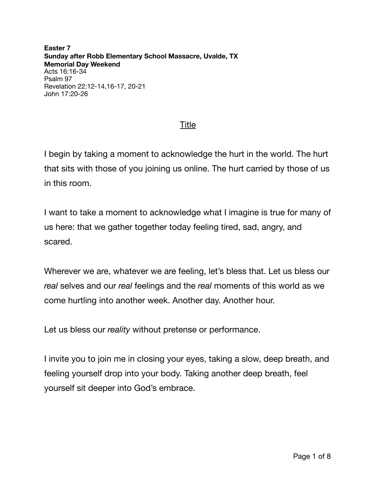**Easter 7 Sunday after Robb Elementary School Massacre, Uvalde, TX Memorial Day Weekend**  Acts 16:16-34 Psalm 97 Revelation 22:12-14,16-17, 20-21 John 17:20-26

## Title

I begin by taking a moment to acknowledge the hurt in the world. The hurt that sits with those of you joining us online. The hurt carried by those of us in this room.

I want to take a moment to acknowledge what I imagine is true for many of us here: that we gather together today feeling tired, sad, angry, and scared.

Wherever we are, whatever we are feeling, let's bless that. Let us bless our *real* selves and our *real* feelings and the *real* moments of this world as we come hurtling into another week. Another day. Another hour.

Let us bless our *reality* without pretense or performance.

I invite you to join me in closing your eyes, taking a slow, deep breath, and feeling yourself drop into your body. Taking another deep breath, feel yourself sit deeper into God's embrace.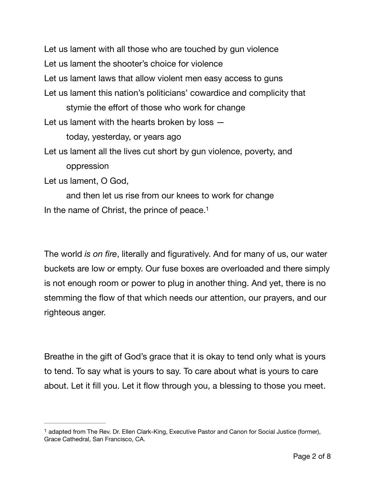Let us lament with all those who are touched by gun violence Let us lament the shooter's choice for violence Let us lament laws that allow violent men easy access to guns Let us lament this nation's politicians' cowardice and complicity that stymie the effort of those who work for change Let us lament with the hearts broken by loss today, yesterday, or years ago Let us lament all the lives cut short by gun violence, poverty, and oppression Let us lament, O God, and then let us rise from our knees to work for change

<span id="page-1-1"></span>In the name of Christ, the prince of peace[.1](#page-1-0)

The world *is on fire*, literally and figuratively. And for many of us, our water buckets are low or empty. Our fuse boxes are overloaded and there simply is not enough room or power to plug in another thing. And yet, there is no stemming the flow of that which needs our attention, our prayers, and our righteous anger.

Breathe in the gift of God's grace that it is okay to tend only what is yours to tend. To say what is yours to say. To care about what is yours to care about. Let it fill you. Let it flow through you, a blessing to those you meet.

<span id="page-1-0"></span><sup>&</sup>lt;sup>[1](#page-1-1)</sup> adapted from The Rev. Dr. Ellen Clark-King, Executive Pastor and Canon for Social Justice (former), Grace Cathedral, San Francisco, CA.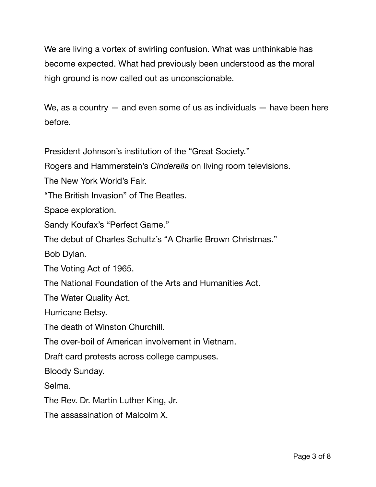We are living a vortex of swirling confusion. What was unthinkable has become expected. What had previously been understood as the moral high ground is now called out as unconscionable.

We, as a country  $-$  and even some of us as individuals  $-$  have been here before.

President Johnson's institution of the "Great Society."

Rogers and Hammerstein's *Cinderella* on living room televisions.

The New York World's Fair.

"The British Invasion" of The Beatles.

Space exploration.

Sandy Koufax's "Perfect Game."

The debut of Charles Schultz's "A Charlie Brown Christmas."

Bob Dylan.

The Voting Act of 1965.

The National Foundation of the Arts and Humanities Act.

The Water Quality Act.

Hurricane Betsy.

The death of Winston Churchill.

The over-boil of American involvement in Vietnam.

Draft card protests across college campuses.

Bloody Sunday.

Selma.

The Rev. Dr. Martin Luther King, Jr.

The assassination of Malcolm X.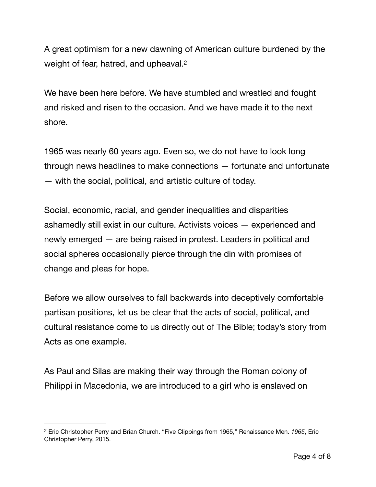<span id="page-3-1"></span>A great optimism for a new dawning of American culture burdened by the weight of fear, hatred, and upheaval.<sup>2</sup>

We have been here before. We have stumbled and wrestled and fought and risked and risen to the occasion. And we have made it to the next shore.

1965 was nearly 60 years ago. Even so, we do not have to look long through news headlines to make connections — fortunate and unfortunate — with the social, political, and artistic culture of today.

Social, economic, racial, and gender inequalities and disparities ashamedly still exist in our culture. Activists voices — experienced and newly emerged — are being raised in protest. Leaders in political and social spheres occasionally pierce through the din with promises of change and pleas for hope.

Before we allow ourselves to fall backwards into deceptively comfortable partisan positions, let us be clear that the acts of social, political, and cultural resistance come to us directly out of The Bible; today's story from Acts as one example.

As Paul and Silas are making their way through the Roman colony of Philippi in Macedonia, we are introduced to a girl who is enslaved on

<span id="page-3-0"></span>Eric Christopher Perry and Brian Church. "Five Clippings from 1965," Renaissance Men. *1965*, Eric [2](#page-3-1) Christopher Perry, 2015.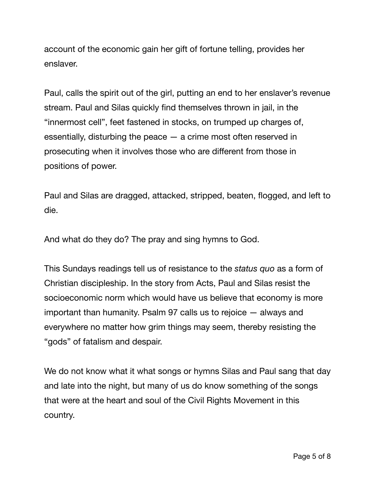account of the economic gain her gift of fortune telling, provides her enslaver.

Paul, calls the spirit out of the girl, putting an end to her enslaver's revenue stream. Paul and Silas quickly find themselves thrown in jail, in the "innermost cell", feet fastened in stocks, on trumped up charges of, essentially, disturbing the peace — a crime most often reserved in prosecuting when it involves those who are different from those in positions of power.

Paul and Silas are dragged, attacked, stripped, beaten, flogged, and left to die.

And what do they do? The pray and sing hymns to God.

This Sundays readings tell us of resistance to the *status quo* as a form of Christian discipleship. In the story from Acts, Paul and Silas resist the socioeconomic norm which would have us believe that economy is more important than humanity. Psalm 97 calls us to rejoice — always and everywhere no matter how grim things may seem, thereby resisting the "gods" of fatalism and despair.

We do not know what it what songs or hymns Silas and Paul sang that day and late into the night, but many of us do know something of the songs that were at the heart and soul of the Civil Rights Movement in this country.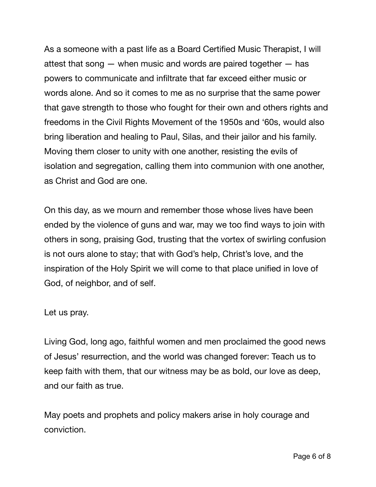As a someone with a past life as a Board Certified Music Therapist, I will attest that song  $-$  when music and words are paired together  $-$  has powers to communicate and infiltrate that far exceed either music or words alone. And so it comes to me as no surprise that the same power that gave strength to those who fought for their own and others rights and freedoms in the Civil Rights Movement of the 1950s and '60s, would also bring liberation and healing to Paul, Silas, and their jailor and his family. Moving them closer to unity with one another, resisting the evils of isolation and segregation, calling them into communion with one another, as Christ and God are one.

On this day, as we mourn and remember those whose lives have been ended by the violence of guns and war, may we too find ways to join with others in song, praising God, trusting that the vortex of swirling confusion is not ours alone to stay; that with God's help, Christ's love, and the inspiration of the Holy Spirit we will come to that place unified in love of God, of neighbor, and of self.

Let us pray.

Living God, long ago, faithful women and men proclaimed the good news of Jesus' resurrection, and the world was changed forever: Teach us to keep faith with them, that our witness may be as bold, our love as deep, and our faith as true.

May poets and prophets and policy makers arise in holy courage and conviction.